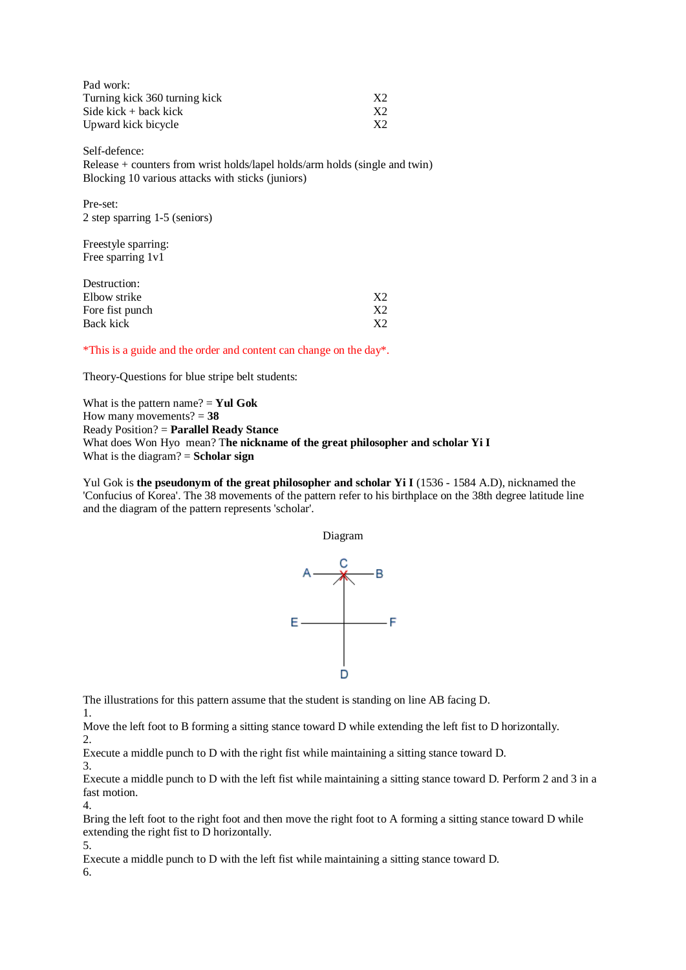| Pad work:                     |    |
|-------------------------------|----|
| Turning kick 360 turning kick | X2 |
| Side kick $+$ back kick       | X2 |
| Upward kick bicycle           | X2 |

Self-defence: Release + counters from wrist holds/lapel holds/arm holds (single and twin) Blocking 10 various attacks with sticks (juniors)

Pre-set: 2 step sparring 1-5 (seniors)

Freestyle sparring: Free sparring 1v1

| X <sub>2</sub> |
|----------------|
| X2             |
| X2             |
|                |

\*This is a guide and the order and content can change on the day\*.

Theory-Questions for blue stripe belt students:

What is the pattern name? = **Yul Gok** How many movements? = **38** Ready Position? = **Parallel Ready Stance** What does Won Hyo mean? T**he nickname of the great philosopher and scholar Yi I** What is the diagram? = **Scholar sign**

Yul Gok is **the pseudonym of the great philosopher and scholar Yi I** (1536 - 1584 A.D), nicknamed the 'Confucius of Korea'. The 38 movements of the pattern refer to his birthplace on the 38th degree latitude line and the diagram of the pattern represents 'scholar'.

Diagram



The illustrations for this pattern assume that the student is standing on line AB facing D.

1.

Move the left foot to B forming a sitting stance toward D while extending the left fist to D horizontally. 2.

Execute a middle punch to D with the right fist while maintaining a sitting stance toward D.

3.

Execute a middle punch to D with the left fist while maintaining a sitting stance toward D. Perform 2 and 3 in a fast motion. 4.

Bring the left foot to the right foot and then move the right foot to A forming a sitting stance toward D while extending the right fist to D horizontally.

5.

Execute a middle punch to D with the left fist while maintaining a sitting stance toward D.

6.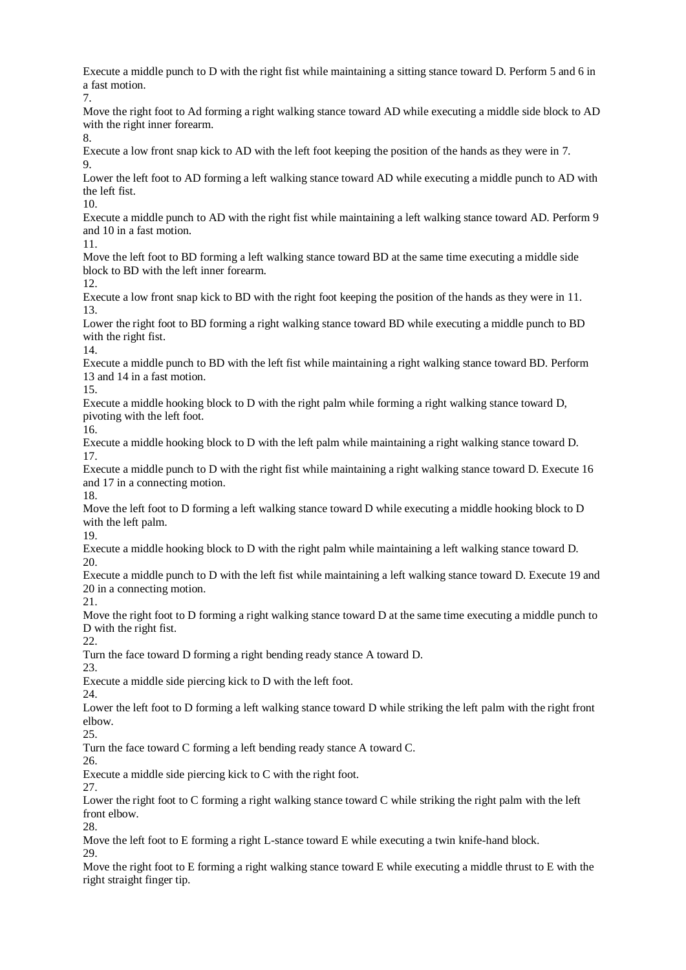Execute a middle punch to D with the right fist while maintaining a sitting stance toward D. Perform 5 and 6 in a fast motion. 7. Move the right foot to Ad forming a right walking stance toward AD while executing a middle side block to AD with the right inner forearm. 8. Execute a low front snap kick to AD with the left foot keeping the position of the hands as they were in 7. 9. Lower the left foot to AD forming a left walking stance toward AD while executing a middle punch to AD with the left fist. 10. Execute a middle punch to AD with the right fist while maintaining a left walking stance toward AD. Perform 9 and 10 in a fast motion. 11. Move the left foot to BD forming a left walking stance toward BD at the same time executing a middle side block to BD with the left inner forearm. 12. Execute a low front snap kick to BD with the right foot keeping the position of the hands as they were in 11. 13. Lower the right foot to BD forming a right walking stance toward BD while executing a middle punch to BD with the right fist.

14.

Execute a middle punch to BD with the left fist while maintaining a right walking stance toward BD. Perform 13 and 14 in a fast motion.

15.

Execute a middle hooking block to D with the right palm while forming a right walking stance toward D, pivoting with the left foot.

16.

Execute a middle hooking block to D with the left palm while maintaining a right walking stance toward D. 17.

Execute a middle punch to D with the right fist while maintaining a right walking stance toward D. Execute 16 and 17 in a connecting motion. 18.

Move the left foot to D forming a left walking stance toward D while executing a middle hooking block to D with the left palm.

19.

Execute a middle hooking block to D with the right palm while maintaining a left walking stance toward D. 20.

Execute a middle punch to D with the left fist while maintaining a left walking stance toward D. Execute 19 and 20 in a connecting motion.

21.

Move the right foot to D forming a right walking stance toward D at the same time executing a middle punch to D with the right fist.

22.

Turn the face toward D forming a right bending ready stance A toward D.

23.

Execute a middle side piercing kick to D with the left foot.

24.

Lower the left foot to D forming a left walking stance toward D while striking the left palm with the right front elbow.

25.

Turn the face toward C forming a left bending ready stance A toward C.

26.

Execute a middle side piercing kick to C with the right foot.

27.

Lower the right foot to C forming a right walking stance toward C while striking the right palm with the left front elbow.

28.

Move the left foot to E forming a right L-stance toward E while executing a twin knife-hand block. 29.

Move the right foot to E forming a right walking stance toward E while executing a middle thrust to E with the right straight finger tip.